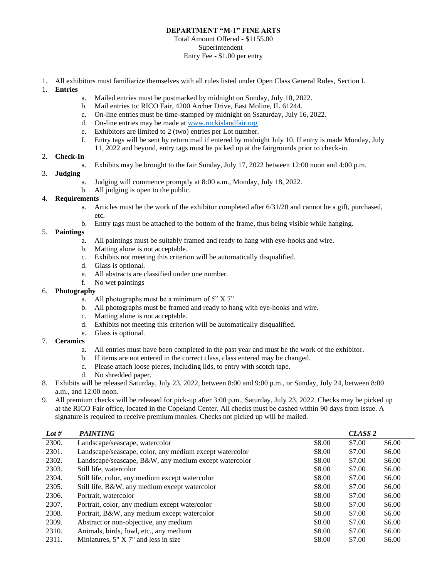# **DEPARTMENT "M-1" FINE ARTS**

### Total Amount Offered - \$1155.00 Superintendent – Entry Fee - \$1.00 per entry

- 1. All exhibitors must familiarize themselves with all rules listed under Open Class General Rules, Section I.
- 1. **Entries**
	- a. Mailed entries must be postmarked by midnight on Sunday, July 10, 2022.
	- b. Mail entries to: RICO Fair, 4200 Archer Drive, East Moline, IL 61244.
	- c. On-line entries must be time-stamped by midnight on Ssaturday, July 16, 2022.
	- d. On-line entries may be made at [www.rockislandfair.org](http://www.rockislandfair.org/)
	- e. Exhibitors are limited to 2 (two) entries per Lot number.
	- f. Entry tags will be sent by return mail if entered by midnight July 10. If entry is made Monday, July
	- 11, 2022 and beyond, entry tags must be picked up at the fairgrounds prior to check-in.

### 2. **Check-In**

a. Exhibits may be brought to the fair Sunday, July 17, 2022 between 12:00 noon and 4:00 p.m.

# 3. **Judging**

- a. Judging will commence promptly at 8:00 a.m., Monday, July 18, 2022.
- b. All judging is open to the public.

#### 4. **Requirements**

- a. Articles must be the work of the exhibitor completed after 6/31/20 and cannot be a gift, purchased, etc.
- b. Entry tags must be attached to the bottom of the frame, thus being visible while hanging.

# 5. **Paintings**

- a. All paintings must be suitably framed and ready to hang with eye-hooks and wire.
- b. Matting alone is not acceptable.
- c. Exhibits not meeting this criterion will be automatically disqualified.
- d. Glass is optional.
- e. All abstracts are classified under one number.
- f. No wet paintings

## 6. **Photography**

- a. All photographs must be a minimum of 5" X 7"
- b. All photographs must be framed and ready to hang with eye-hooks and wire.
- c. Matting alone is not acceptable.
- d. Exhibits not meeting this criterion will be automatically disqualified.
- e. Glass is optional.

# 7. **Ceramics**

- a. All entries must have been completed in the past year and must be the work of the exhibitor.
- b. If items are not entered in the correct class, class entered may be changed.
- c. Please attach loose pieces, including lids, to entry with scotch tape.
- d. No shredded paper.
- 8. Exhibits will be released Saturday, July 23, 2022, between 8:00 and 9:00 p.m., or Sunday, July 24, between 8:00 a.m., and 12:00 noon.
- 9. All premium checks will be released for pick-up after 3:00 p.m., Saturday, July 23, 2022. Checks may be picked up at the RICO Fair office, located in the Copeland Center. All checks must be cashed within 90 days from issue. A signature is required to receive premium monies. Checks not picked up will be mailed.

| Lot # | <b>PAINTING</b>                                         |        | CLASS <sub>2</sub> |        |
|-------|---------------------------------------------------------|--------|--------------------|--------|
| 2300. | Landscape/seascape, watercolor                          | \$8.00 | \$7.00             | \$6.00 |
| 2301. | Landscape/seascape, color, any medium except watercolor | \$8.00 | \$7.00             | \$6.00 |
| 2302. | Landscape/seascape, B&W, any medium except watercolor   | \$8.00 | \$7.00             | \$6.00 |
| 2303. | Still life, watercolor                                  | \$8.00 | \$7.00             | \$6.00 |
| 2304. | Still life, color, any medium except watercolor         | \$8.00 | \$7.00             | \$6.00 |
| 2305. | Still life, B&W, any medium except watercolor           | \$8.00 | \$7.00             | \$6.00 |
| 2306. | Portrait, watercolor                                    | \$8.00 | \$7.00             | \$6.00 |
| 2307. | Portrait, color, any medium except watercolor           | \$8.00 | \$7.00             | \$6.00 |
| 2308. | Portrait, B&W, any medium except watercolor             | \$8.00 | \$7.00             | \$6.00 |
| 2309. | Abstract or non-objective, any medium                   | \$8.00 | \$7.00             | \$6.00 |
| 2310. | Animals, birds, fowl, etc., any medium                  | \$8.00 | \$7.00             | \$6.00 |
| 2311. | Miniatures, $5''$ X 7" and less in size                 | \$8.00 | \$7.00             | \$6.00 |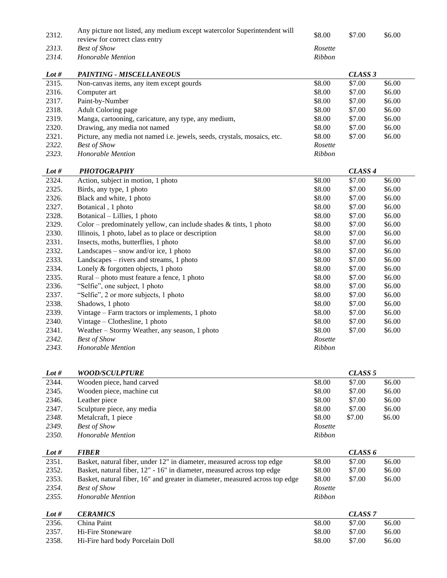| 2312.   | Any picture not listed, any medium except watercolor Superintendent will     | \$8.00  | \$7.00             | \$6.00 |
|---------|------------------------------------------------------------------------------|---------|--------------------|--------|
|         | review for correct class entry                                               |         |                    |        |
| 2313.   | <b>Best of Show</b>                                                          | Rosette |                    |        |
| 2314.   | Honorable Mention                                                            | Ribbon  |                    |        |
| Lot $#$ | <b>PAINTING - MISCELLANEOUS</b>                                              |         | CLASS <sub>3</sub> |        |
| 2315.   | Non-canvas items, any item except gourds                                     | \$8.00  | \$7.00             | \$6.00 |
| 2316.   | Computer art                                                                 | \$8.00  | \$7.00             | \$6.00 |
| 2317.   | Paint-by-Number                                                              | \$8.00  | \$7.00             | \$6.00 |
| 2318.   | Adult Coloring page                                                          | \$8.00  | \$7.00             | \$6.00 |
| 2319.   | Manga, cartooning, caricature, any type, any medium,                         | \$8.00  | \$7.00             | \$6.00 |
| 2320.   | Drawing, any media not named                                                 | \$8.00  | \$7.00             | \$6.00 |
| 2321.   | Picture, any media not named i.e. jewels, seeds, crystals, mosaics, etc.     | \$8.00  | \$7.00             | \$6.00 |
| 2322.   | <b>Best of Show</b>                                                          | Rosette |                    |        |
| 2323.   | Honorable Mention                                                            | Ribbon  |                    |        |
|         |                                                                              |         |                    |        |
| Lot $#$ | <b>PHOTOGRAPHY</b>                                                           |         | CLASS <sub>4</sub> |        |
| 2324.   | Action, subject in motion, 1 photo                                           | \$8.00  | \$7.00             | \$6.00 |
| 2325.   | Birds, any type, 1 photo                                                     | \$8.00  | \$7.00             | \$6.00 |
| 2326.   | Black and white, 1 photo                                                     | \$8.00  | \$7.00             | \$6.00 |
| 2327.   | Botanical, 1 photo                                                           | \$8.00  | \$7.00             | \$6.00 |
| 2328.   | Botanical – Lillies, 1 photo                                                 | \$8.00  | \$7.00             | \$6.00 |
| 2329.   | Color – predominately yellow, can include shades $&$ tints, 1 photo          | \$8.00  | \$7.00             | \$6.00 |
| 2330.   | Illinois, 1 photo, label as to place or description                          | \$8.00  | \$7.00             | \$6.00 |
| 2331.   | Insects, moths, butterflies, 1 photo                                         | \$8.00  | \$7.00             | \$6.00 |
| 2332.   | Landscapes – snow and/or ice, 1 photo                                        | \$8.00  | \$7.00             | \$6.00 |
| 2333.   | Landscapes – rivers and streams, 1 photo                                     | \$8.00  | \$7.00             | \$6.00 |
| 2334.   | Lonely & forgotten objects, 1 photo                                          | \$8.00  | \$7.00             | \$6.00 |
| 2335.   | Rural – photo must feature a fence, 1 photo                                  | \$8.00  | \$7.00             | \$6.00 |
| 2336.   | "Selfie", one subject, 1 photo                                               | \$8.00  | \$7.00             | \$6.00 |
| 2337.   | "Selfie", 2 or more subjects, 1 photo                                        | \$8.00  | \$7.00             | \$6.00 |
| 2338.   | Shadows, 1 photo                                                             | \$8.00  | \$7.00             | \$6.00 |
| 2339.   | Vintage – Farm tractors or implements, 1 photo                               | \$8.00  | \$7.00             | \$6.00 |
| 2340.   | Vintage – Clothesline, 1 photo                                               | \$8.00  | \$7.00             | \$6.00 |
| 2341.   | Weather – Stormy Weather, any season, 1 photo                                | \$8.00  | \$7.00             | \$6.00 |
| 2342.   | <b>Best of Show</b>                                                          | Rosette |                    |        |
| 2343.   | Honorable Mention                                                            | Ribbon  |                    |        |
|         |                                                                              |         |                    |        |
| Lot #   | <b>WOOD/SCULPTURE</b>                                                        |         | CLASS <sub>5</sub> |        |
| 2344.   | Wooden piece, hand carved                                                    | \$8.00  | \$7.00             | \$6.00 |
| 2345.   | Wooden piece, machine cut                                                    | \$8.00  | \$7.00             | \$6.00 |
| 2346.   | Leather piece                                                                | \$8.00  | \$7.00             | \$6.00 |
| 2347.   | Sculpture piece, any media                                                   | \$8.00  | \$7.00             | \$6.00 |
| 2348.   | Metalcraft, 1 piece                                                          | \$8.00  | \$7.00             | \$6.00 |
| 2349.   | <b>Best of Show</b>                                                          | Rosette |                    |        |
| 2350.   | Honorable Mention                                                            | Ribbon  |                    |        |
| Lot $#$ | <b>FIBER</b>                                                                 |         | CLASS 6            |        |
| 2351.   | Basket, natural fiber, under 12" in diameter, measured across top edge       | \$8.00  | \$7.00             | \$6.00 |
| 2352.   | Basket, natural fiber, 12" - 16" in diameter, measured across top edge       | \$8.00  | \$7.00             | \$6.00 |
| 2353.   | Basket, natural fiber, 16" and greater in diameter, measured across top edge | \$8.00  | \$7.00             | \$6.00 |
| 2354.   | <b>Best of Show</b>                                                          | Rosette |                    |        |
| 2355.   | Honorable Mention                                                            | Ribbon  |                    |        |
|         |                                                                              |         |                    |        |
| Lot $#$ | <b>CERAMICS</b>                                                              |         | CLASS <sub>7</sub> |        |
| 2356.   | China Paint                                                                  | \$8.00  | \$7.00             | \$6.00 |
| 2357.   | Hi-Fire Stoneware                                                            | \$8.00  | \$7.00             | \$6.00 |
| 2358.   | Hi-Fire hard body Porcelain Doll                                             | \$8.00  | \$7.00             | \$6.00 |